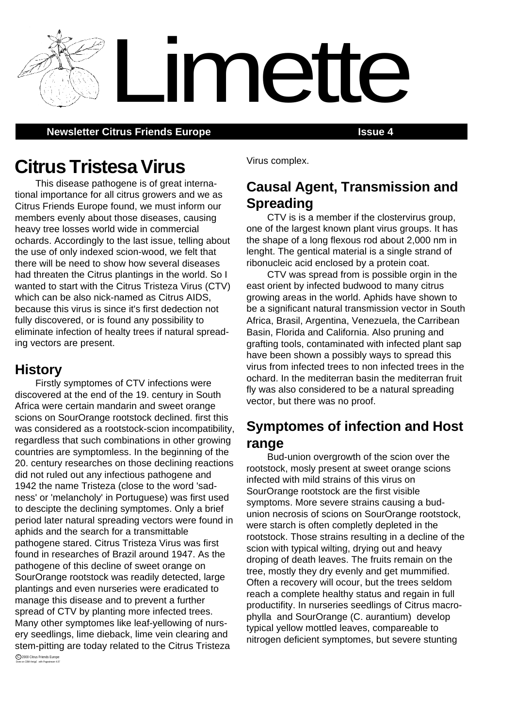**Newsletter Citrus Friends Europe <b>Issue 4 ISSUE 4** 

# **Citrus Tristesa Virus**

This disease pathogene is of great international importance for all citrus growers and we as Citrus Friends Europe found, we must inform our members evenly about those diseases, causing heavy tree losses world wide in commercial ochards. Accordingly to the last issue, telling about the use of only indexed scion-wood, we felt that there will be need to show how several diseases had threaten the Citrus plantings in the world. So I wanted to start with the Citrus Tristeza Virus (CTV) which can be also nick-named as Citrus AIDS, because this virus is since it's first dedection not fully discovered, or is found any possibility to eliminate infection of healty trees if natural spreading vectors are present.

### **History**

Firstly symptomes of CTV infections were discovered at the end of the 19. century in South Africa were certain mandarin and sweet orange scions on SourOrange rootstock declined. first this was considered as a rootstock-scion incompatibility, regardless that such combinations in other growing countries are symptomless. In the beginning of the 20. century researches on those declining reactions did not ruled out any infectious pathogene and 1942 the name Tristeza (close to the word 'sadness' or 'melancholy' in Portuguese) was first used to descipte the declining symptomes. Only a brief period later natural spreading vectors were found in aphids and the search for a transmittable pathogene stared. Citrus Tristeza Virus was first found in researches of Brazil around 1947. As the pathogene of this decline of sweet orange on SourOrange rootstock was readily detected, large plantings and even nurseries were eradicated to manage this disease and to prevent a further spread of CTV by planting more infected trees. Many other symptomes like leaf-yellowing of nursery seedlings, lime dieback, lime vein clearing and stem-pitting are today related to the Citrus Tristeza

Virus complex.

Limette

## **Causal Agent, Transmission and Spreading**

CTV is is a member if the clostervirus group, one of the largest known plant virus groups. It has the shape of a long flexous rod about 2,000 nm in lenght. The gentical material is a single strand of ribonucleic acid enclosed by a protein coat.

CTV was spread from is possible orgin in the east orient by infected budwood to many citrus growing areas in the world. Aphids have shown to be a significant natural transmission vector in South Africa, Brasil, Argentina, Venezuela, the Carribean Basin, Florida and California. Also pruning and grafting tools, contaminated with infected plant sap have been shown a possibly ways to spread this virus from infected trees to non infected trees in the ochard. In the mediterran basin the mediterran fruit fly was also considered to be a natural spreading vector, but there was no proof.

## **Symptomes of infection and Host range**

Bud-union overgrowth of the scion over the rootstock, mosly present at sweet orange scions infected with mild strains of this virus on SourOrange rootstock are the first visible symptoms. More severe strains causing a budunion necrosis of scions on SourOrange rootstock, were starch is often completly depleted in the rootstock. Those strains resulting in a decline of the scion with typical wilting, drying out and heavy droping of death leaves. The fruits remain on the tree, mostly they dry evenly and get mummified. Often a recovery will ocour, but the trees seldom reach a complete healthy status and regain in full productifity. In nurseries seedlings of Citrus macrophylla and SourOrange (C. aurantium) develop typical yellow mottled leaves, compareable to nitrogen deficient symptomes, but severe stunting

C 2000 Citrus Friends Europe<br>Done on CBM Amiga with Pagestream 4.07